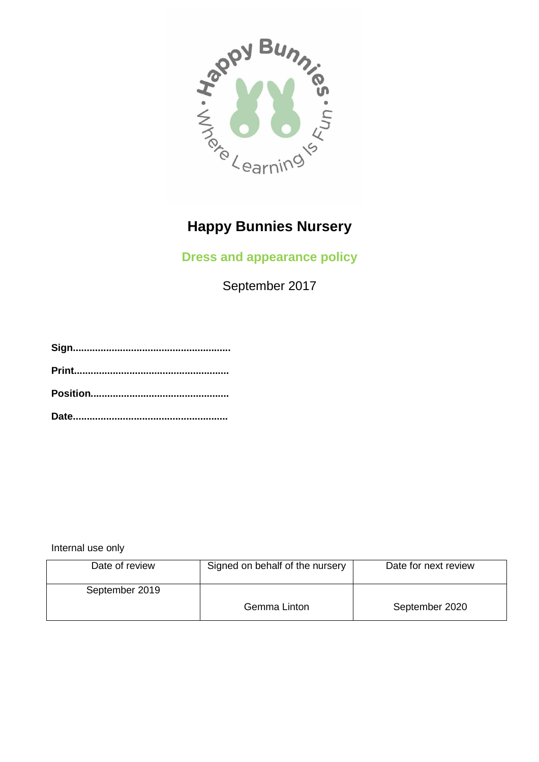

# **Happy Bunnies Nursery**

## **Dress and appearance policy**

September 2017

Internal use only

| Date of review | Signed on behalf of the nursery | Date for next review |
|----------------|---------------------------------|----------------------|
| September 2019 |                                 |                      |
|                | Gemma Linton                    | September 2020       |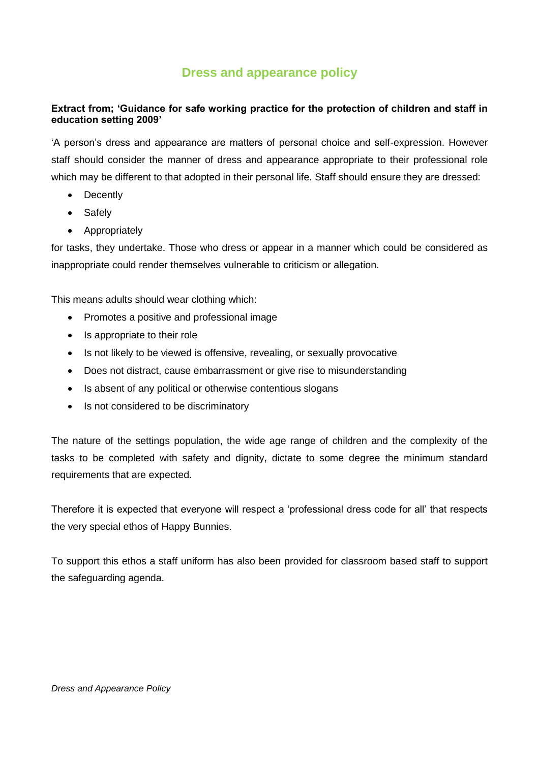### **Dress and appearance policy**

#### **Extract from; 'Guidance for safe working practice for the protection of children and staff in education setting 2009'**

'A person's dress and appearance are matters of personal choice and self-expression. However staff should consider the manner of dress and appearance appropriate to their professional role which may be different to that adopted in their personal life. Staff should ensure they are dressed:

- Decently
- Safely
- Appropriately

for tasks, they undertake. Those who dress or appear in a manner which could be considered as inappropriate could render themselves vulnerable to criticism or allegation.

This means adults should wear clothing which:

- Promotes a positive and professional image
- Is appropriate to their role
- Is not likely to be viewed is offensive, revealing, or sexually provocative
- Does not distract, cause embarrassment or give rise to misunderstanding
- Is absent of any political or otherwise contentious slogans
- Is not considered to be discriminatory

The nature of the settings population, the wide age range of children and the complexity of the tasks to be completed with safety and dignity, dictate to some degree the minimum standard requirements that are expected.

Therefore it is expected that everyone will respect a 'professional dress code for all' that respects the very special ethos of Happy Bunnies.

To support this ethos a staff uniform has also been provided for classroom based staff to support the safeguarding agenda.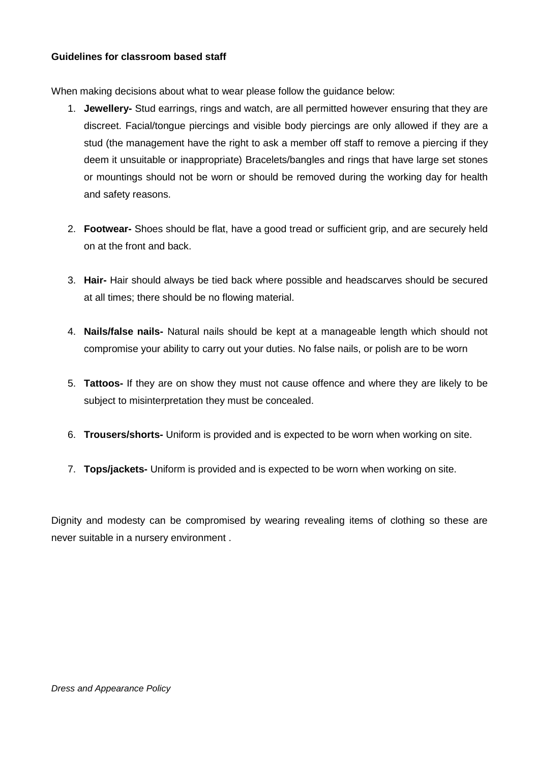#### **Guidelines for classroom based staff**

When making decisions about what to wear please follow the guidance below:

- 1. **Jewellery-** Stud earrings, rings and watch, are all permitted however ensuring that they are discreet. Facial/tongue piercings and visible body piercings are only allowed if they are a stud (the management have the right to ask a member off staff to remove a piercing if they deem it unsuitable or inappropriate) Bracelets/bangles and rings that have large set stones or mountings should not be worn or should be removed during the working day for health and safety reasons.
- 2. **Footwear-** Shoes should be flat, have a good tread or sufficient grip, and are securely held on at the front and back.
- 3. **Hair-** Hair should always be tied back where possible and headscarves should be secured at all times; there should be no flowing material.
- 4. **Nails/false nails-** Natural nails should be kept at a manageable length which should not compromise your ability to carry out your duties. No false nails, or polish are to be worn
- 5. **Tattoos-** If they are on show they must not cause offence and where they are likely to be subject to misinterpretation they must be concealed.
- 6. **Trousers/shorts-** Uniform is provided and is expected to be worn when working on site.
- 7. **Tops/jackets-** Uniform is provided and is expected to be worn when working on site.

Dignity and modesty can be compromised by wearing revealing items of clothing so these are never suitable in a nursery environment .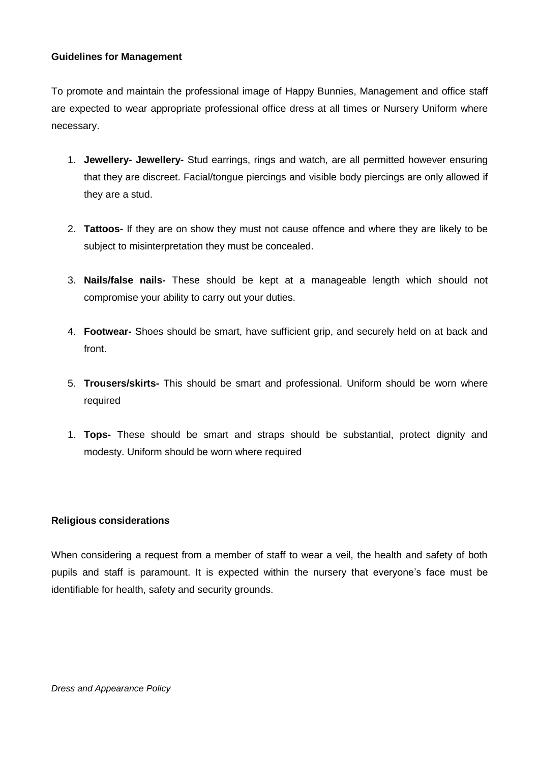#### **Guidelines for Management**

To promote and maintain the professional image of Happy Bunnies, Management and office staff are expected to wear appropriate professional office dress at all times or Nursery Uniform where necessary.

- 1. **Jewellery- Jewellery-** Stud earrings, rings and watch, are all permitted however ensuring that they are discreet. Facial/tongue piercings and visible body piercings are only allowed if they are a stud.
- 2. **Tattoos-** If they are on show they must not cause offence and where they are likely to be subject to misinterpretation they must be concealed.
- 3. **Nails/false nails-** These should be kept at a manageable length which should not compromise your ability to carry out your duties.
- 4. **Footwear-** Shoes should be smart, have sufficient grip, and securely held on at back and front.
- 5. **Trousers/skirts-** This should be smart and professional. Uniform should be worn where required
- 1. **Tops-** These should be smart and straps should be substantial, protect dignity and modesty. Uniform should be worn where required

#### **Religious considerations**

When considering a request from a member of staff to wear a veil, the health and safety of both pupils and staff is paramount. It is expected within the nursery that everyone's face must be identifiable for health, safety and security grounds.

*Dress and Appearance Policy*